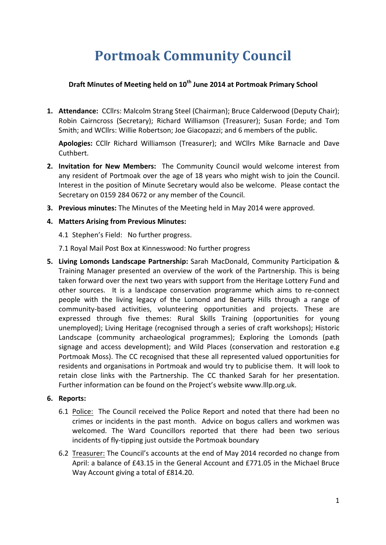# **Portmoak Community Council**

# **Draft Minutes of Meeting held on 10th June 2014 at Portmoak Primary School**

1. **Attendance:** CCllrs: Malcolm Strang Steel (Chairman); Bruce Calderwood (Deputy Chair); Robin Cairncross (Secretary); Richard Williamson (Treasurer); Susan Forde; and Tom Smith; and WCllrs: Willie Robertson; Joe Giacopazzi; and 6 members of the public.

**Apologies:** CCllr Richard Williamson (Treasurer); and WCllrs Mike Barnacle and Dave Cuthbert.

- **2.** Invitation for New Members: The Community Council would welcome interest from any resident of Portmoak over the age of 18 years who might wish to join the Council. Interest in the position of Minute Secretary would also be welcome. Please contact the Secretary on 0159 284 0672 or any member of the Council.
- **3. Previous minutes:** The Minutes of the Meeting held in May 2014 were approved.
- **4. Matters Arising from Previous Minutes:**

4.1 Stephen's Field: No further progress.

7.1 Royal Mail Post Box at Kinnesswood: No further progress

**5. Living Lomonds Landscape Partnership:** Sarah MacDonald, Community Participation & Training Manager presented an overview of the work of the Partnership. This is being taken forward over the next two vears with support from the Heritage Lottery Fund and other sources. It is a landscape conservation programme which aims to re-connect people with the living legacy of the Lomond and Benarty Hills through a range of community-based activities, volunteering opportunities and projects. These are expressed through five themes: Rural Skills Training (opportunities for young unemployed); Living Heritage (recognised through a series of craft workshops); Historic Landscape (community archaeological programmes); Exploring the Lomonds (path signage and access development); and Wild Places (conservation and restoration e.g Portmoak Moss). The CC recognised that these all represented valued opportunities for residents and organisations in Portmoak and would try to publicise them. It will look to retain close links with the Partnership. The CC thanked Sarah for her presentation. Further information can be found on the Project's website www.lllp.org.uk.

#### **6.** Reports:

- 6.1 Police: The Council received the Police Report and noted that there had been no crimes or incidents in the past month. Advice on bogus callers and workmen was welcomed. The Ward Councillors reported that there had been two serious incidents of fly-tipping just outside the Portmoak boundary
- 6.2 Treasurer: The Council's accounts at the end of May 2014 recorded no change from April: a balance of £43.15 in the General Account and £771.05 in the Michael Bruce Way Account giving a total of £814.20.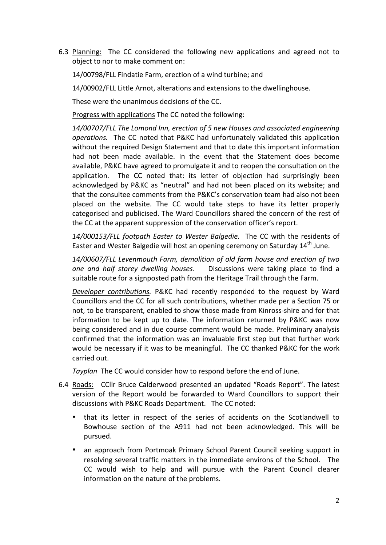6.3 Planning: The CC considered the following new applications and agreed not to object to nor to make comment on:

14/00798/FLL Findatie Farm, erection of a wind turbine; and

14/00902/FLL Little Arnot, alterations and extensions to the dwellinghouse.

These were the unanimous decisions of the CC.

Progress with applications The CC noted the following:

14/00707/FLL The Lomond Inn, erection of 5 new Houses and associated engineering *operations.* The CC noted that P&KC had unfortunately validated this application without the required Design Statement and that to date this important information had not been made available. In the event that the Statement does become available, P&KC have agreed to promulgate it and to reopen the consultation on the application. The CC noted that: its letter of objection had surprisingly been acknowledged by P&KC as "neutral" and had not been placed on its website; and that the consultee comments from the P&KC's conservation team had also not been placed on the website. The CC would take steps to have its letter properly categorised and publicised. The Ward Councillors shared the concern of the rest of the CC at the apparent suppression of the conservation officer's report.

14/000153/FLL footpath Easter to Wester Balgedie. The CC with the residents of Easter and Wester Balgedie will host an opening ceremony on Saturday 14<sup>th</sup> June.

*14/00607/FLL Levenmouth Farm, demolition of old farm house and erection of two one and half storey dwelling houses*. Discussions were taking place to find a suitable route for a signposted path from the Heritage Trail through the Farm.

*Developer contributions.* P&KC had recently responded to the request by Ward Councillors and the CC for all such contributions, whether made per a Section 75 or not, to be transparent, enabled to show those made from Kinross-shire and for that information to be kept up to date. The information returned by P&KC was now being considered and in due course comment would be made. Preliminary analysis confirmed that the information was an invaluable first step but that further work would be necessary if it was to be meaningful. The CC thanked P&KC for the work carried out.

*Tayplan* The CC would consider how to respond before the end of June.

- 6.4 Roads: CCllr Bruce Calderwood presented an updated "Roads Report". The latest version of the Report would be forwarded to Ward Councillors to support their discussions with P&KC Roads Department. The CC noted:
	- that its letter in respect of the series of accidents on the Scotlandwell to Bowhouse section of the A911 had not been acknowledged. This will be pursued.
	- an approach from Portmoak Primary School Parent Council seeking support in resolving several traffic matters in the immediate environs of the School. The CC would wish to help and will pursue with the Parent Council clearer information on the nature of the problems.